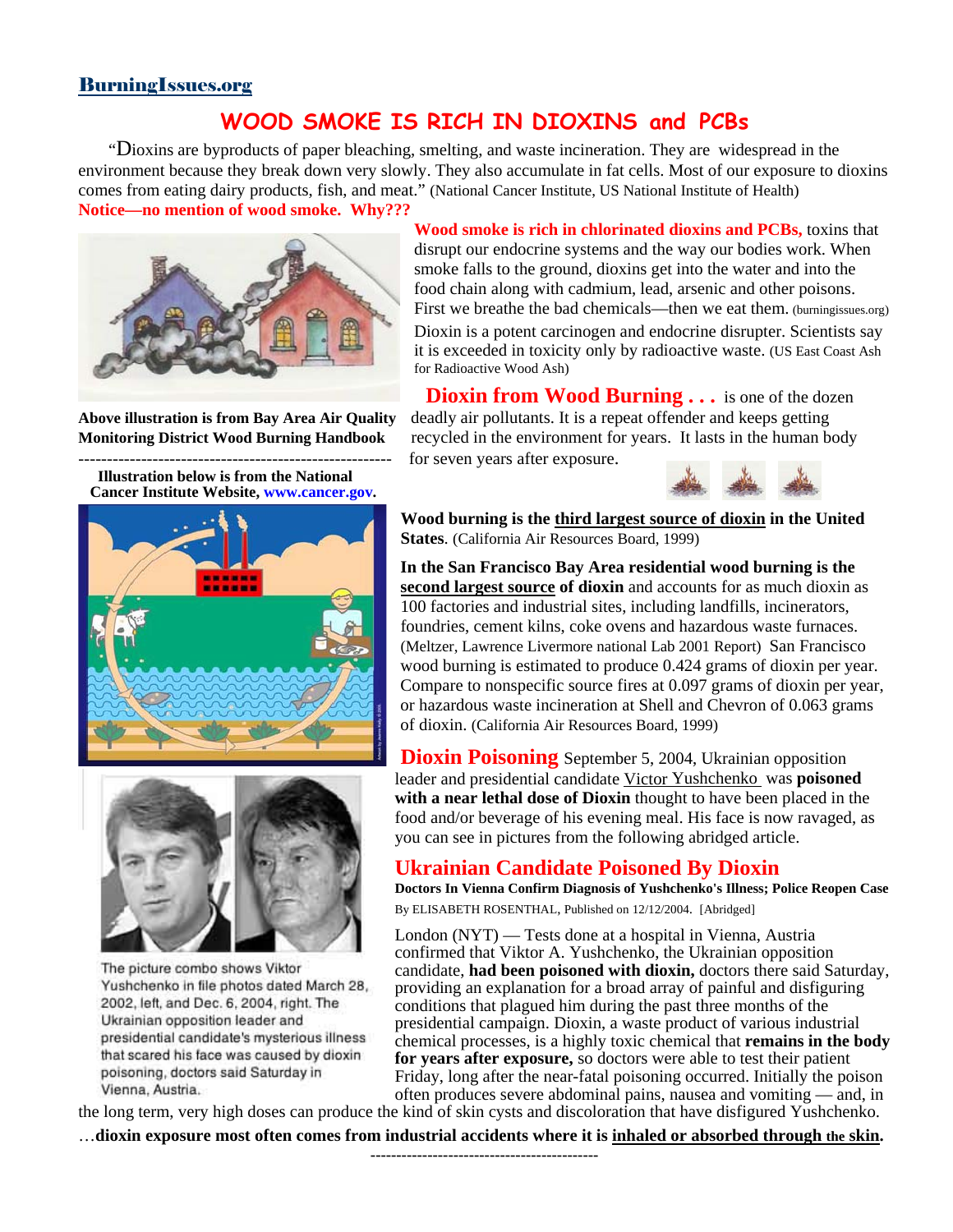### BurningIssues.org

# **WOOD SMOKE IS RICH IN DIOXINS and PCBs**

 "Dioxins are byproducts of paper bleaching, smelting, and waste incineration. They are widespread in the environment because they break down very slowly. They also accumulate in fat cells. Most of our exposure to dioxins comes from eating dairy products, fish, and meat." (National Cancer Institute, US National Institute of Health) **Notice—no mention of wood smoke. Why???**



**Illustration below is from the National Cancer Institute Website, [www.cancer.gov.](http://www.cancer.gov/)** 

**Wood smoke is rich in chlorinated dioxins and PCBs,** toxins that disrupt our endocrine systems and the way our bodies work. When smoke falls to the ground, dioxins get into the water and into the food chain along with cadmium, lead, arsenic and other poisons. First we breathe the bad chemicals—then we eat them. (burningissues.org) Dioxin is a potent carcinogen and endocrine disrupter. Scientists say it is exceeded in toxicity only by radioactive waste. (US East Coast Ash for Radioactive Wood Ash)

**Dioxin from Wood Burning ...** is one of the dozen **Above illustration is from Bay Area Air Quality** deadly air pollutants. It is a repeat offender and keeps getting **Monitoring District Wood Burning Handbook** recycled in the environment for years. It lasts in the human body for seven years after exposure.







The picture combo shows Viktor Yushchenko in file photos dated March 28, 2002, left, and Dec. 6, 2004, right. The Ukrainian opposition leader and presidential candidate's mysterious illness that scared his face was caused by dioxin poisoning, doctors said Saturday in Vienna, Austria.

**Wood burning is the third largest source of dioxin in the United States**. (California Air Resources Board, 1999)

**In the San Francisco Bay Area residential wood burning is the second largest source of dioxin** and accounts for as much dioxin as 100 factories and industrial sites, including landfills, incinerators, foundries, cement kilns, coke ovens and hazardous waste furnaces. (Meltzer, Lawrence Livermore national Lab 2001 Report) San Francisco wood burning is estimated to produce 0.424 grams of dioxin per year. Compare to nonspecific source fires at 0.097 grams of dioxin per year, or hazardous waste incineration at Shell and Chevron of 0.063 grams of dioxin. (California Air Resources Board, 1999)

**Dioxin Poisoning** September 5, 2004, Ukrainian opposition leader and presidential candidate [Victor Yushchenko](http://burningissues.org/car-www/medical_effects/yushchenko-dioxin-poisen.htm) was **poisoned with a near lethal dose of Dioxin** thought to have been placed in the food and/or beverage of his evening meal. His face is now ravaged, as you can see in pictures from the following abridged article.

## **Ukrainian Candidate Poisoned By Dioxin**

**Doctors In Vienna Confirm Diagnosis of Yushchenko's Illness; Police Reopen Case** By ELISABETH ROSENTHAL, Published on 12/12/2004. [Abridged]

London (NYT) — Tests done at a hospital in Vienna, Austria confirmed that Viktor A. Yushchenko, the Ukrainian opposition candidate, **had been poisoned with dioxin,** doctors there said Saturday, providing an explanation for a broad array of painful and disfiguring conditions that plagued him during the past three months of the presidential campaign. Dioxin, a waste product of various industrial chemical processes, is a highly toxic chemical that **remains in the body for years after exposure,** so doctors were able to test their patient Friday, long after the near-fatal poisoning occurred. Initially the poison often produces severe abdominal pains, nausea and vomiting — and, in

the long term, very high doses can produce the kind of skin cysts and discoloration that have disfigured Yushchenko.

…**dioxin exposure most often comes from industrial accidents where it is inhaled or absorbed through the skin.**

**--------------------------------------------**